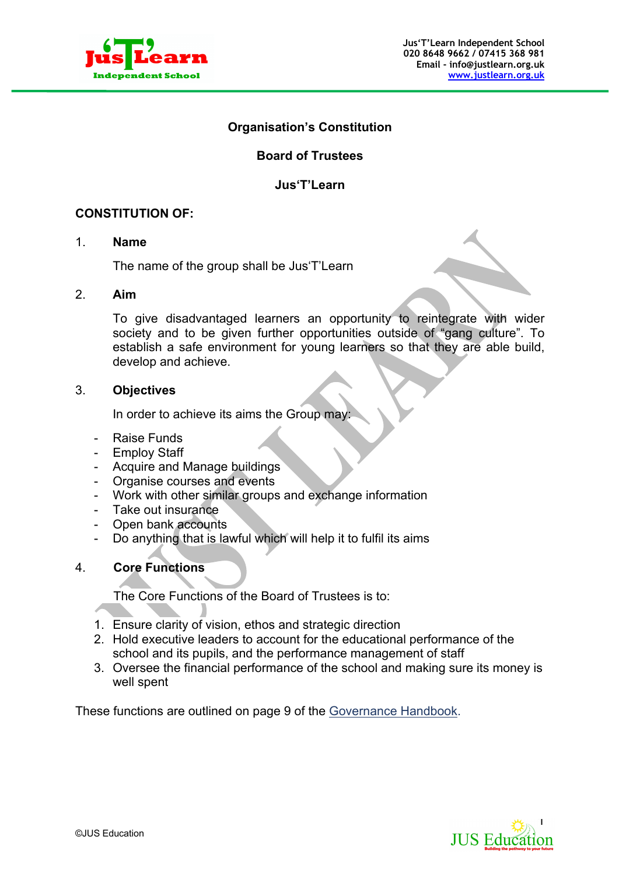

## **Organisation's Constitution**

# **Board of Trustees**

### **Jus'T'Learn**

## **CONSTITUTION OF:**

#### 1. **Name**

The name of the group shall be Jus'T'Learn

#### 2. **Aim**

To give disadvantaged learners an opportunity to reintegrate with wider society and to be given further opportunities outside of "gang culture". To establish a safe environment for young learners so that they are able build, develop and achieve.

### 3. **Objectives**

In order to achieve its aims the Group may:

- Raise Funds
- Employ Staff
- Acquire and Manage buildings
- Organise courses and events
- Work with other similar groups and exchange information
- Take out insurance
- Open bank accounts
- Do anything that is lawful which will help it to fulfil its aims

## 4. **Core Functions**

The Core Functions of the Board of Trustees is to:

- 1. Ensure clarity of vision, ethos and strategic direction
- 2. Hold executive leaders to account for the educational performance of the school and its pupils, and the performance management of staff
- 3. Oversee the financial performance of the school and making sure its money is well spent

These functions are outlined on page 9 of the Governance Handbook.

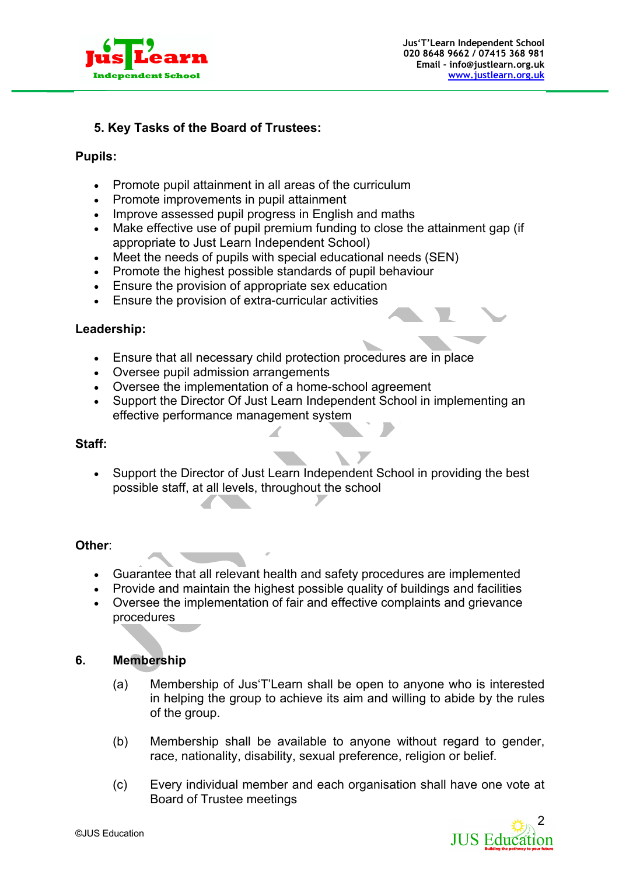

# **5. Key Tasks of the Board of Trustees:**

### **Pupils:**

- Promote pupil attainment in all areas of the curriculum
- Promote improvements in pupil attainment
- Improve assessed pupil progress in English and maths
- Make effective use of pupil premium funding to close the attainment gap (if appropriate to Just Learn Independent School)
- Meet the needs of pupils with special educational needs (SEN)
- Promote the highest possible standards of pupil behaviour
- Ensure the provision of appropriate sex education
- Ensure the provision of extra-curricular activities

#### **Leadership:**

- Ensure that all necessary child protection procedures are in place
- Oversee pupil admission arrangements
- Oversee the implementation of a home-school agreement
- Support the Director Of Just Learn Independent School in implementing an effective performance management system

#### **Staff:**

• Support the Director of Just Learn Independent School in providing the best possible staff, at all levels, throughout the school

#### **Other**:

- Guarantee that all relevant health and safety procedures are implemented
- Provide and maintain the highest possible quality of buildings and facilities
- Oversee the implementation of fair and effective complaints and grievance procedures

## **6. Membership**

- (a) Membership of Jus'T'Learn shall be open to anyone who is interested in helping the group to achieve its aim and willing to abide by the rules of the group.
- (b) Membership shall be available to anyone without regard to gender, race, nationality, disability, sexual preference, religion or belief.
- (c) Every individual member and each organisation shall have one vote at Board of Trustee meetings

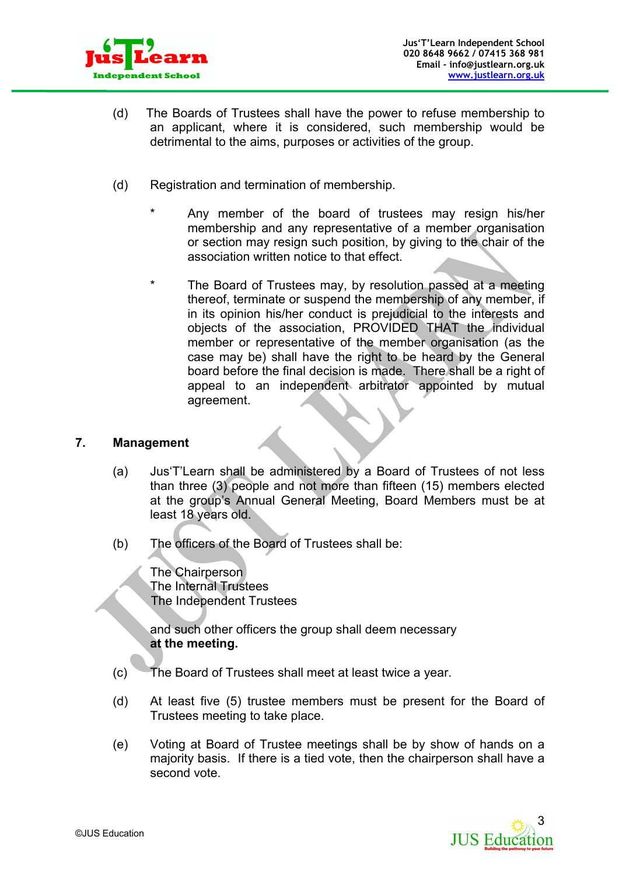

- (d) The Boards of Trustees shall have the power to refuse membership to an applicant, where it is considered, such membership would be detrimental to the aims, purposes or activities of the group.
- (d) Registration and termination of membership.
	- Any member of the board of trustees may resign his/her membership and any representative of a member organisation or section may resign such position, by giving to the chair of the association written notice to that effect.
	- The Board of Trustees may, by resolution passed at a meeting thereof, terminate or suspend the membership of any member, if in its opinion his/her conduct is prejudicial to the interests and objects of the association, PROVIDED THAT the individual member or representative of the member organisation (as the case may be) shall have the right to be heard by the General board before the final decision is made. There shall be a right of appeal to an independent arbitrator appointed by mutual agreement.

## **7. Management**

- (a) Jus'T'Learn shall be administered by a Board of Trustees of not less than three (3) people and not more than fifteen (15) members elected at the group's Annual General Meeting, Board Members must be at least 18 years old.
- (b) The officers of the Board of Trustees shall be:

The Chairperson The Internal Trustees The Independent Trustees

and such other officers the group shall deem necessary **at the meeting.**

- (c) The Board of Trustees shall meet at least twice a year.
- (d) At least five (5) trustee members must be present for the Board of Trustees meeting to take place.
- (e) Voting at Board of Trustee meetings shall be by show of hands on a majority basis. If there is a tied vote, then the chairperson shall have a second vote.

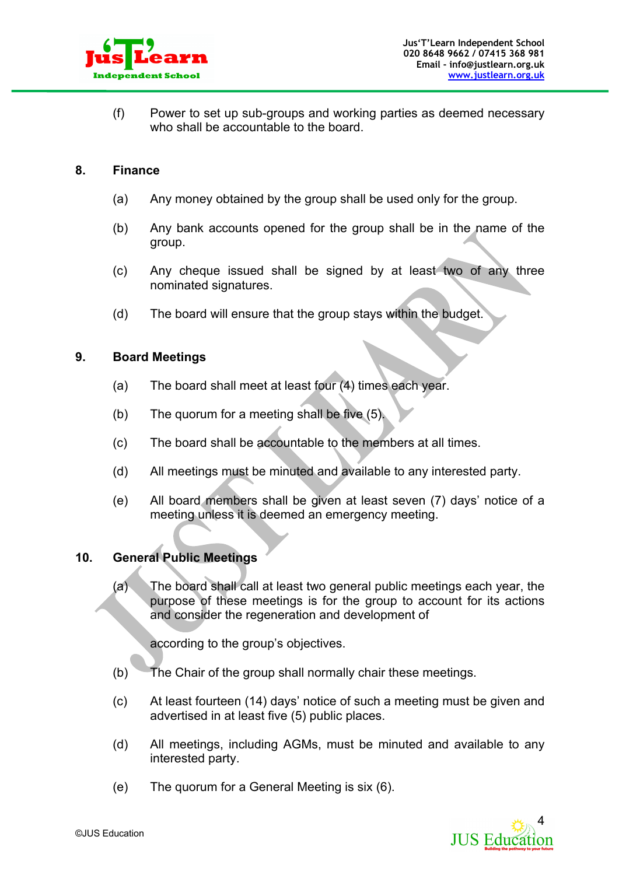

(f) Power to set up sub-groups and working parties as deemed necessary who shall be accountable to the board.

#### **8. Finance**

- (a) Any money obtained by the group shall be used only for the group.
- (b) Any bank accounts opened for the group shall be in the name of the group.
- (c) Any cheque issued shall be signed by at least two of any three nominated signatures.
- (d) The board will ensure that the group stays within the budget.

### **9. Board Meetings**

- (a) The board shall meet at least four (4) times each year.
- (b) The quorum for a meeting shall be five (5).
- (c) The board shall be accountable to the members at all times.
- (d) All meetings must be minuted and available to any interested party.
- (e) All board members shall be given at least seven (7) days' notice of a meeting unless it is deemed an emergency meeting.

## **10. General Public Meetings**

(a) The board shall call at least two general public meetings each year, the purpose of these meetings is for the group to account for its actions and consider the regeneration and development of

according to the group's objectives.

- (b) The Chair of the group shall normally chair these meetings.
- (c) At least fourteen (14) days' notice of such a meeting must be given and advertised in at least five (5) public places.
- (d) All meetings, including AGMs, must be minuted and available to any interested party.
- (e) The quorum for a General Meeting is six (6).

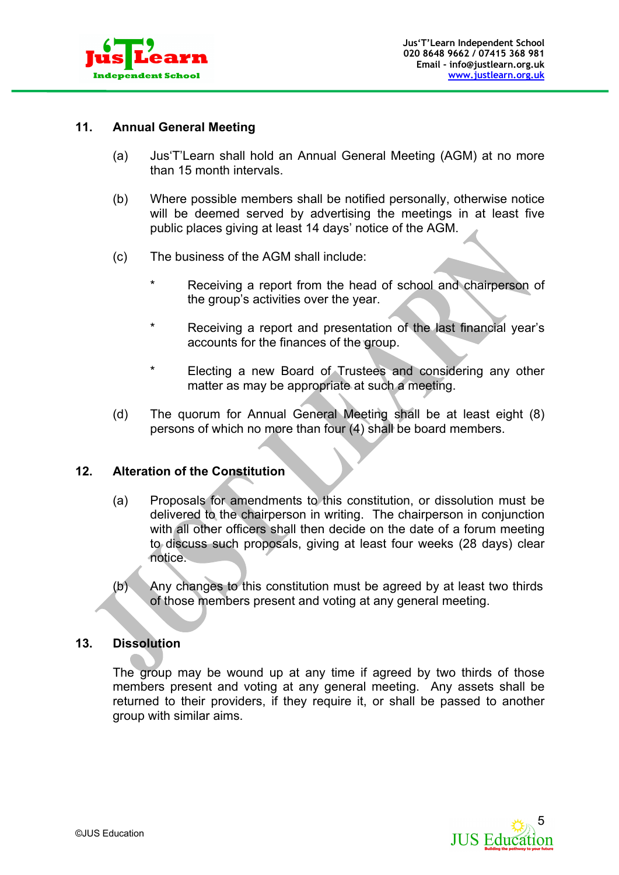

## **11. Annual General Meeting**

- (a) Jus'T'Learn shall hold an Annual General Meeting (AGM) at no more than 15 month intervals.
- (b) Where possible members shall be notified personally, otherwise notice will be deemed served by advertising the meetings in at least five public places giving at least 14 days' notice of the AGM.
- (c) The business of the AGM shall include:
	- Receiving a report from the head of school and chairperson of the group's activities over the year.
	- \* Receiving a report and presentation of the last financial year's accounts for the finances of the group.
	- \* Electing a new Board of Trustees and considering any other matter as may be appropriate at such a meeting.
- (d) The quorum for Annual General Meeting shall be at least eight (8) persons of which no more than four (4) shall be board members.

### **12. Alteration of the Constitution**

- (a) Proposals for amendments to this constitution, or dissolution must be delivered to the chairperson in writing. The chairperson in conjunction with all other officers shall then decide on the date of a forum meeting to discuss such proposals, giving at least four weeks (28 days) clear notice.
- (b) Any changes to this constitution must be agreed by at least two thirds of those members present and voting at any general meeting.

#### **13. Dissolution**

The group may be wound up at any time if agreed by two thirds of those members present and voting at any general meeting. Any assets shall be returned to their providers, if they require it, or shall be passed to another group with similar aims.